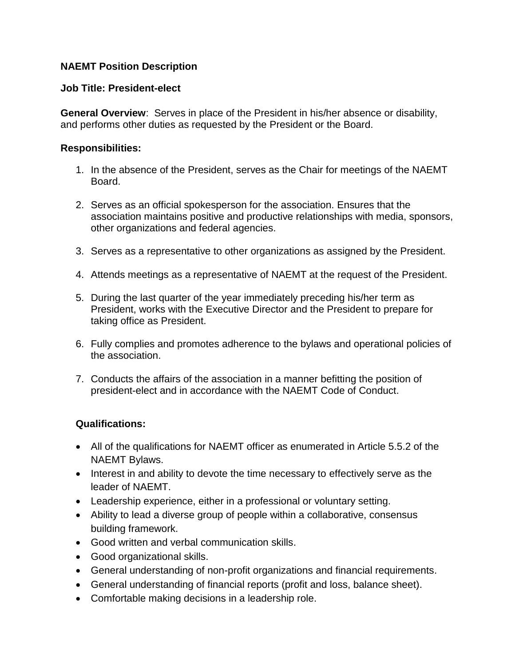## **NAEMT Position Description**

## **Job Title: President-elect**

**General Overview**: Serves in place of the President in his/her absence or disability, and performs other duties as requested by the President or the Board.

## **Responsibilities:**

- 1. In the absence of the President, serves as the Chair for meetings of the NAEMT Board.
- 2. Serves as an official spokesperson for the association. Ensures that the association maintains positive and productive relationships with media, sponsors, other organizations and federal agencies.
- 3. Serves as a representative to other organizations as assigned by the President.
- 4. Attends meetings as a representative of NAEMT at the request of the President.
- 5. During the last quarter of the year immediately preceding his/her term as President, works with the Executive Director and the President to prepare for taking office as President.
- 6. Fully complies and promotes adherence to the bylaws and operational policies of the association.
- 7. Conducts the affairs of the association in a manner befitting the position of president-elect and in accordance with the NAEMT Code of Conduct.

## **Qualifications:**

- All of the qualifications for NAEMT officer as enumerated in Article 5.5.2 of the NAEMT Bylaws.
- Interest in and ability to devote the time necessary to effectively serve as the leader of NAEMT.
- Leadership experience, either in a professional or voluntary setting.
- Ability to lead a diverse group of people within a collaborative, consensus building framework.
- Good written and verbal communication skills.
- Good organizational skills.
- General understanding of non-profit organizations and financial requirements.
- General understanding of financial reports (profit and loss, balance sheet).
- Comfortable making decisions in a leadership role.